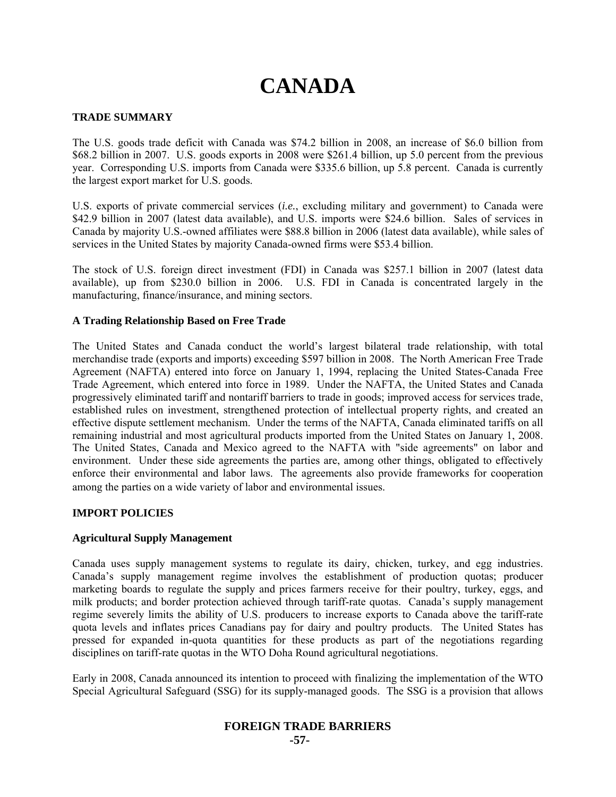# **CANADA**

# **TRADE SUMMARY**

The U.S. goods trade deficit with Canada was \$74.2 billion in 2008, an increase of \$6.0 billion from \$68.2 billion in 2007. U.S. goods exports in 2008 were \$261.4 billion, up 5.0 percent from the previous year. Corresponding U.S. imports from Canada were \$335.6 billion, up 5.8 percent. Canada is currently the largest export market for U.S. goods.

U.S. exports of private commercial services (*i.e.*, excluding military and government) to Canada were \$42.9 billion in 2007 (latest data available), and U.S. imports were \$24.6 billion. Sales of services in Canada by majority U.S.-owned affiliates were \$88.8 billion in 2006 (latest data available), while sales of services in the United States by majority Canada-owned firms were \$53.4 billion.

The stock of U.S. foreign direct investment (FDI) in Canada was \$257.1 billion in 2007 (latest data available), up from \$230.0 billion in 2006. U.S. FDI in Canada is concentrated largely in the manufacturing, finance/insurance, and mining sectors.

# **A Trading Relationship Based on Free Trade**

The United States and Canada conduct the world's largest bilateral trade relationship, with total merchandise trade (exports and imports) exceeding \$597 billion in 2008. The North American Free Trade Agreement (NAFTA) entered into force on January 1, 1994, replacing the United States-Canada Free Trade Agreement, which entered into force in 1989. Under the NAFTA, the United States and Canada progressively eliminated tariff and nontariff barriers to trade in goods; improved access for services trade, established rules on investment, strengthened protection of intellectual property rights, and created an effective dispute settlement mechanism. Under the terms of the NAFTA, Canada eliminated tariffs on all remaining industrial and most agricultural products imported from the United States on January 1, 2008. The United States, Canada and Mexico agreed to the NAFTA with "side agreements" on labor and environment. Under these side agreements the parties are, among other things, obligated to effectively enforce their environmental and labor laws. The agreements also provide frameworks for cooperation among the parties on a wide variety of labor and environmental issues.

# **IMPORT POLICIES**

# **Agricultural Supply Management**

Canada uses supply management systems to regulate its dairy, chicken, turkey, and egg industries. Canada's supply management regime involves the establishment of production quotas; producer marketing boards to regulate the supply and prices farmers receive for their poultry, turkey, eggs, and milk products; and border protection achieved through tariff-rate quotas. Canada's supply management regime severely limits the ability of U.S. producers to increase exports to Canada above the tariff-rate quota levels and inflates prices Canadians pay for dairy and poultry products. The United States has pressed for expanded in-quota quantities for these products as part of the negotiations regarding disciplines on tariff-rate quotas in the WTO Doha Round agricultural negotiations.

Early in 2008, Canada announced its intention to proceed with finalizing the implementation of the WTO Special Agricultural Safeguard (SSG) for its supply-managed goods. The SSG is a provision that allows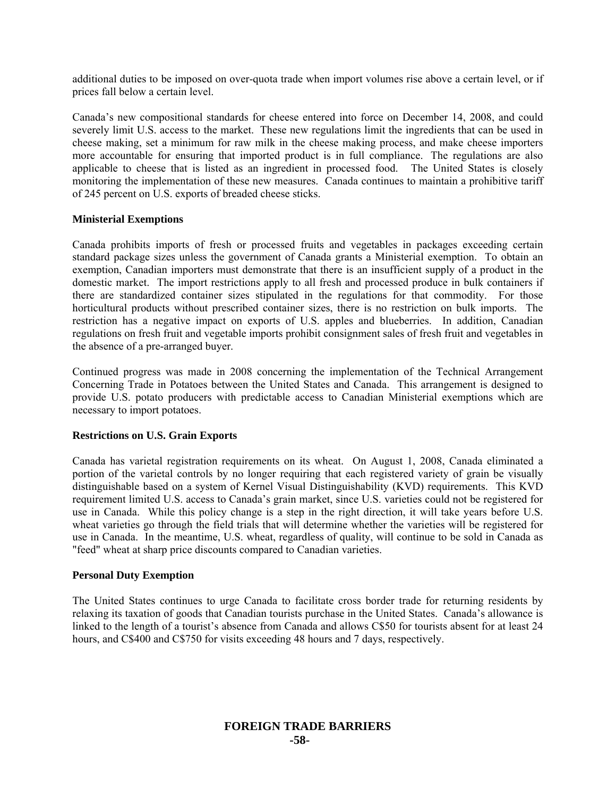additional duties to be imposed on over-quota trade when import volumes rise above a certain level, or if prices fall below a certain level.

Canada's new compositional standards for cheese entered into force on December 14, 2008, and could severely limit U.S. access to the market. These new regulations limit the ingredients that can be used in cheese making, set a minimum for raw milk in the cheese making process, and make cheese importers more accountable for ensuring that imported product is in full compliance. The regulations are also applicable to cheese that is listed as an ingredient in processed food. The United States is closely monitoring the implementation of these new measures. Canada continues to maintain a prohibitive tariff of 245 percent on U.S. exports of breaded cheese sticks.

#### **Ministerial Exemptions**

Canada prohibits imports of fresh or processed fruits and vegetables in packages exceeding certain standard package sizes unless the government of Canada grants a Ministerial exemption. To obtain an exemption, Canadian importers must demonstrate that there is an insufficient supply of a product in the domestic market. The import restrictions apply to all fresh and processed produce in bulk containers if there are standardized container sizes stipulated in the regulations for that commodity. For those horticultural products without prescribed container sizes, there is no restriction on bulk imports. The restriction has a negative impact on exports of U.S. apples and blueberries. In addition, Canadian regulations on fresh fruit and vegetable imports prohibit consignment sales of fresh fruit and vegetables in the absence of a pre-arranged buyer.

Continued progress was made in 2008 concerning the implementation of the Technical Arrangement Concerning Trade in Potatoes between the United States and Canada. This arrangement is designed to provide U.S. potato producers with predictable access to Canadian Ministerial exemptions which are necessary to import potatoes.

#### **Restrictions on U.S. Grain Exports**

Canada has varietal registration requirements on its wheat. On August 1, 2008, Canada eliminated a portion of the varietal controls by no longer requiring that each registered variety of grain be visually distinguishable based on a system of Kernel Visual Distinguishability (KVD) requirements. This KVD requirement limited U.S. access to Canada's grain market, since U.S. varieties could not be registered for use in Canada. While this policy change is a step in the right direction, it will take years before U.S. wheat varieties go through the field trials that will determine whether the varieties will be registered for use in Canada. In the meantime, U.S. wheat, regardless of quality, will continue to be sold in Canada as "feed" wheat at sharp price discounts compared to Canadian varieties.

#### **Personal Duty Exemption**

The United States continues to urge Canada to facilitate cross border trade for returning residents by relaxing its taxation of goods that Canadian tourists purchase in the United States. Canada's allowance is linked to the length of a tourist's absence from Canada and allows C\$50 for tourists absent for at least 24 hours, and C\$400 and C\$750 for visits exceeding 48 hours and 7 days, respectively.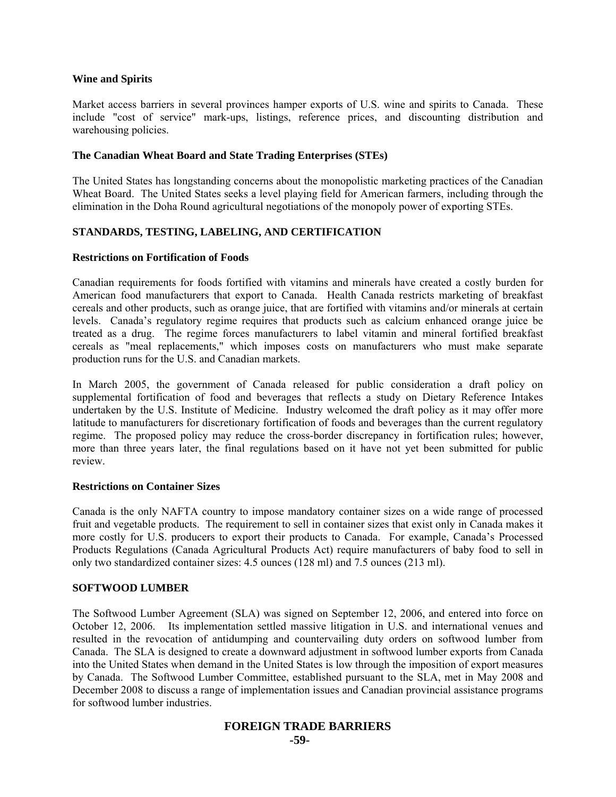#### **Wine and Spirits**

Market access barriers in several provinces hamper exports of U.S. wine and spirits to Canada. These include "cost of service" mark-ups, listings, reference prices, and discounting distribution and warehousing policies.

### **The Canadian Wheat Board and State Trading Enterprises (STEs)**

The United States has longstanding concerns about the monopolistic marketing practices of the Canadian Wheat Board. The United States seeks a level playing field for American farmers, including through the elimination in the Doha Round agricultural negotiations of the monopoly power of exporting STEs.

# **STANDARDS, TESTING, LABELING, AND CERTIFICATION**

#### **Restrictions on Fortification of Foods**

Canadian requirements for foods fortified with vitamins and minerals have created a costly burden for American food manufacturers that export to Canada. Health Canada restricts marketing of breakfast cereals and other products, such as orange juice, that are fortified with vitamins and/or minerals at certain levels. Canada's regulatory regime requires that products such as calcium enhanced orange juice be treated as a drug. The regime forces manufacturers to label vitamin and mineral fortified breakfast cereals as "meal replacements," which imposes costs on manufacturers who must make separate production runs for the U.S. and Canadian markets.

In March 2005, the government of Canada released for public consideration a draft policy on supplemental fortification of food and beverages that reflects a study on Dietary Reference Intakes undertaken by the U.S. Institute of Medicine. Industry welcomed the draft policy as it may offer more latitude to manufacturers for discretionary fortification of foods and beverages than the current regulatory regime. The proposed policy may reduce the cross-border discrepancy in fortification rules; however, more than three years later, the final regulations based on it have not yet been submitted for public review.

#### **Restrictions on Container Sizes**

Canada is the only NAFTA country to impose mandatory container sizes on a wide range of processed fruit and vegetable products. The requirement to sell in container sizes that exist only in Canada makes it more costly for U.S. producers to export their products to Canada. For example, Canada's Processed Products Regulations (Canada Agricultural Products Act) require manufacturers of baby food to sell in only two standardized container sizes: 4.5 ounces (128 ml) and 7.5 ounces (213 ml).

#### **SOFTWOOD LUMBER**

The Softwood Lumber Agreement (SLA) was signed on September 12, 2006, and entered into force on October 12, 2006. Its implementation settled massive litigation in U.S. and international venues and resulted in the revocation of antidumping and countervailing duty orders on softwood lumber from Canada. The SLA is designed to create a downward adjustment in softwood lumber exports from Canada into the United States when demand in the United States is low through the imposition of export measures by Canada. The Softwood Lumber Committee, established pursuant to the SLA, met in May 2008 and December 2008 to discuss a range of implementation issues and Canadian provincial assistance programs for softwood lumber industries.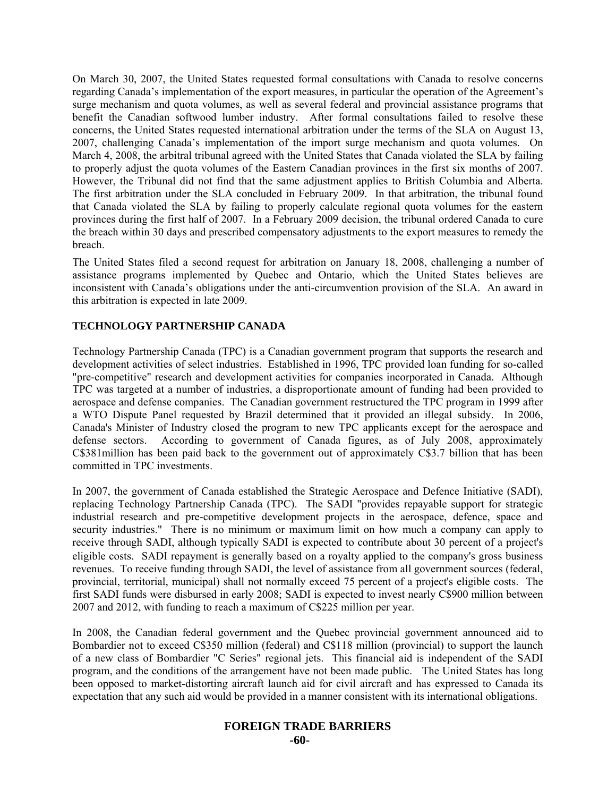On March 30, 2007, the United States requested formal consultations with Canada to resolve concerns regarding Canada's implementation of the export measures, in particular the operation of the Agreement's surge mechanism and quota volumes, as well as several federal and provincial assistance programs that benefit the Canadian softwood lumber industry. After formal consultations failed to resolve these concerns, the United States requested international arbitration under the terms of the SLA on August 13, 2007, challenging Canada's implementation of the import surge mechanism and quota volumes. On March 4, 2008, the arbitral tribunal agreed with the United States that Canada violated the SLA by failing to properly adjust the quota volumes of the Eastern Canadian provinces in the first six months of 2007. However, the Tribunal did not find that the same adjustment applies to British Columbia and Alberta. The first arbitration under the SLA concluded in February 2009. In that arbitration, the tribunal found that Canada violated the SLA by failing to properly calculate regional quota volumes for the eastern provinces during the first half of 2007. In a February 2009 decision, the tribunal ordered Canada to cure the breach within 30 days and prescribed compensatory adjustments to the export measures to remedy the breach.

The United States filed a second request for arbitration on January 18, 2008, challenging a number of assistance programs implemented by Quebec and Ontario, which the United States believes are inconsistent with Canada's obligations under the anti-circumvention provision of the SLA. An award in this arbitration is expected in late 2009.

# **TECHNOLOGY PARTNERSHIP CANADA**

Technology Partnership Canada (TPC) is a Canadian government program that supports the research and development activities of select industries. Established in 1996, TPC provided loan funding for so-called "pre-competitive" research and development activities for companies incorporated in Canada. Although TPC was targeted at a number of industries, a disproportionate amount of funding had been provided to aerospace and defense companies. The Canadian government restructured the TPC program in 1999 after a WTO Dispute Panel requested by Brazil determined that it provided an illegal subsidy. In 2006, Canada's Minister of Industry closed the program to new TPC applicants except for the aerospace and defense sectors. According to government of Canada figures, as of July 2008, approximately C\$381million has been paid back to the government out of approximately C\$3.7 billion that has been committed in TPC investments.

In 2007, the government of Canada established the Strategic Aerospace and Defence Initiative (SADI), replacing Technology Partnership Canada (TPC). The SADI "provides repayable support for strategic industrial research and pre-competitive development projects in the aerospace, defence, space and security industries." There is no minimum or maximum limit on how much a company can apply to receive through SADI, although typically SADI is expected to contribute about 30 percent of a project's eligible costs. SADI repayment is generally based on a royalty applied to the company's gross business revenues. To receive funding through SADI, the level of assistance from all government sources (federal, provincial, territorial, municipal) shall not normally exceed 75 percent of a project's eligible costs. The first SADI funds were disbursed in early 2008; SADI is expected to invest nearly C\$900 million between 2007 and 2012, with funding to reach a maximum of C\$225 million per year.

In 2008, the Canadian federal government and the Quebec provincial government announced aid to Bombardier not to exceed C\$350 million (federal) and C\$118 million (provincial) to support the launch of a new class of Bombardier "C Series" regional jets. This financial aid is independent of the SADI program, and the conditions of the arrangement have not been made public. The United States has long been opposed to market-distorting aircraft launch aid for civil aircraft and has expressed to Canada its expectation that any such aid would be provided in a manner consistent with its international obligations.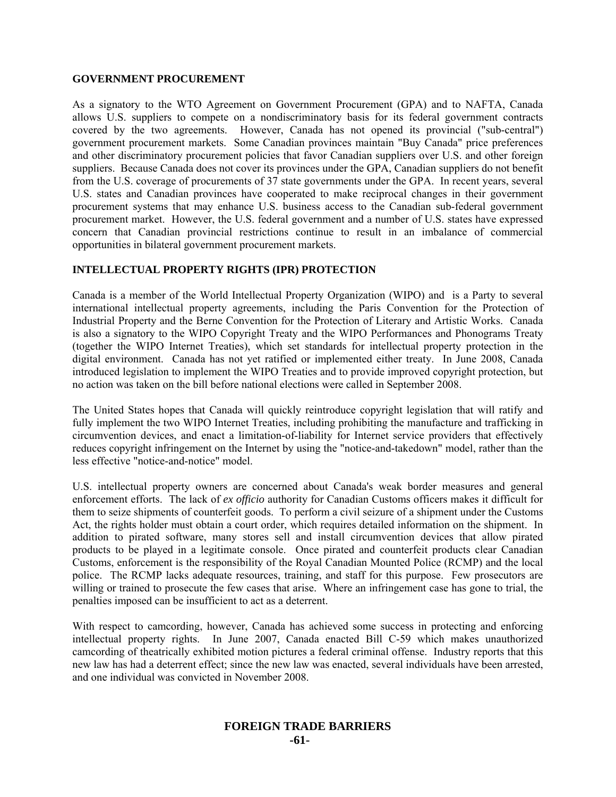#### **GOVERNMENT PROCUREMENT**

As a signatory to the WTO Agreement on Government Procurement (GPA) and to NAFTA, Canada allows U.S. suppliers to compete on a nondiscriminatory basis for its federal government contracts covered by the two agreements. However, Canada has not opened its provincial ("sub-central") government procurement markets. Some Canadian provinces maintain "Buy Canada" price preferences and other discriminatory procurement policies that favor Canadian suppliers over U.S. and other foreign suppliers. Because Canada does not cover its provinces under the GPA, Canadian suppliers do not benefit from the U.S. coverage of procurements of 37 state governments under the GPA. In recent years, several U.S. states and Canadian provinces have cooperated to make reciprocal changes in their government procurement systems that may enhance U.S. business access to the Canadian sub-federal government procurement market. However, the U.S. federal government and a number of U.S. states have expressed concern that Canadian provincial restrictions continue to result in an imbalance of commercial opportunities in bilateral government procurement markets.

# **INTELLECTUAL PROPERTY RIGHTS (IPR) PROTECTION**

Canada is a member of the World Intellectual Property Organization (WIPO) and is a Party to several international intellectual property agreements, including the Paris Convention for the Protection of Industrial Property and the Berne Convention for the Protection of Literary and Artistic Works. Canada is also a signatory to the WIPO Copyright Treaty and the WIPO Performances and Phonograms Treaty (together the WIPO Internet Treaties), which set standards for intellectual property protection in the digital environment. Canada has not yet ratified or implemented either treaty. In June 2008, Canada introduced legislation to implement the WIPO Treaties and to provide improved copyright protection, but no action was taken on the bill before national elections were called in September 2008.

The United States hopes that Canada will quickly reintroduce copyright legislation that will ratify and fully implement the two WIPO Internet Treaties, including prohibiting the manufacture and trafficking in circumvention devices, and enact a limitation-of-liability for Internet service providers that effectively reduces copyright infringement on the Internet by using the "notice-and-takedown" model, rather than the less effective "notice-and-notice" model.

U.S. intellectual property owners are concerned about Canada's weak border measures and general enforcement efforts. The lack of *ex officio* authority for Canadian Customs officers makes it difficult for them to seize shipments of counterfeit goods. To perform a civil seizure of a shipment under the Customs Act, the rights holder must obtain a court order, which requires detailed information on the shipment. In addition to pirated software, many stores sell and install circumvention devices that allow pirated products to be played in a legitimate console. Once pirated and counterfeit products clear Canadian Customs, enforcement is the responsibility of the Royal Canadian Mounted Police (RCMP) and the local police. The RCMP lacks adequate resources, training, and staff for this purpose. Few prosecutors are willing or trained to prosecute the few cases that arise. Where an infringement case has gone to trial, the penalties imposed can be insufficient to act as a deterrent.

With respect to camcording, however, Canada has achieved some success in protecting and enforcing intellectual property rights. In June 2007, Canada enacted Bill C-59 which makes unauthorized camcording of theatrically exhibited motion pictures a federal criminal offense. Industry reports that this new law has had a deterrent effect; since the new law was enacted, several individuals have been arrested, and one individual was convicted in November 2008.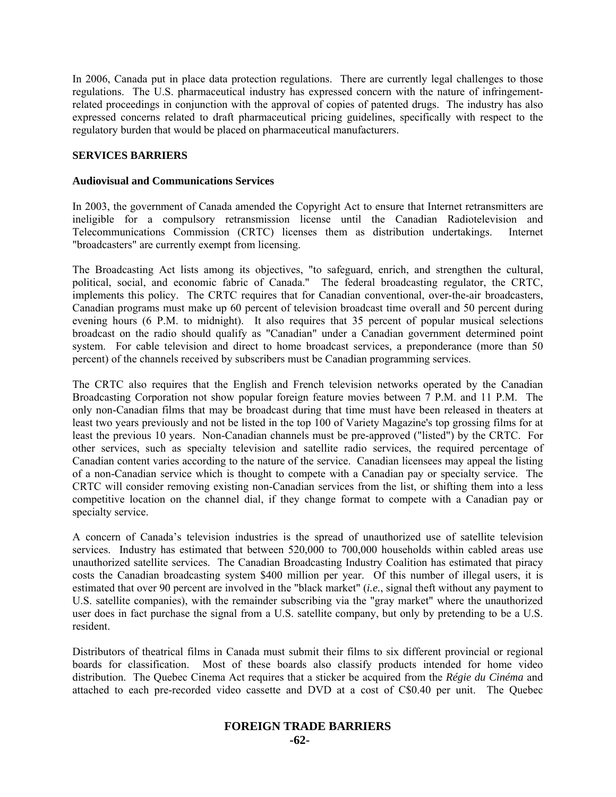In 2006, Canada put in place data protection regulations. There are currently legal challenges to those regulations. The U.S. pharmaceutical industry has expressed concern with the nature of infringementrelated proceedings in conjunction with the approval of copies of patented drugs. The industry has also expressed concerns related to draft pharmaceutical pricing guidelines, specifically with respect to the regulatory burden that would be placed on pharmaceutical manufacturers.

# **SERVICES BARRIERS**

#### **Audiovisual and Communications Services**

In 2003, the government of Canada amended the Copyright Act to ensure that Internet retransmitters are ineligible for a compulsory retransmission license until the Canadian Radiotelevision and Telecommunications Commission (CRTC) licenses them as distribution undertakings. Internet "broadcasters" are currently exempt from licensing.

The Broadcasting Act lists among its objectives, "to safeguard, enrich, and strengthen the cultural, political, social, and economic fabric of Canada." The federal broadcasting regulator, the CRTC, implements this policy. The CRTC requires that for Canadian conventional, over-the-air broadcasters, Canadian programs must make up 60 percent of television broadcast time overall and 50 percent during evening hours (6 P.M. to midnight). It also requires that 35 percent of popular musical selections broadcast on the radio should qualify as "Canadian" under a Canadian government determined point system. For cable television and direct to home broadcast services, a preponderance (more than 50 percent) of the channels received by subscribers must be Canadian programming services.

The CRTC also requires that the English and French television networks operated by the Canadian Broadcasting Corporation not show popular foreign feature movies between 7 P.M. and 11 P.M. The only non-Canadian films that may be broadcast during that time must have been released in theaters at least two years previously and not be listed in the top 100 of Variety Magazine's top grossing films for at least the previous 10 years. Non-Canadian channels must be pre-approved ("listed") by the CRTC. For other services, such as specialty television and satellite radio services, the required percentage of Canadian content varies according to the nature of the service. Canadian licensees may appeal the listing of a non-Canadian service which is thought to compete with a Canadian pay or specialty service. The CRTC will consider removing existing non-Canadian services from the list, or shifting them into a less competitive location on the channel dial, if they change format to compete with a Canadian pay or specialty service.

A concern of Canada's television industries is the spread of unauthorized use of satellite television services. Industry has estimated that between 520,000 to 700,000 households within cabled areas use unauthorized satellite services. The Canadian Broadcasting Industry Coalition has estimated that piracy costs the Canadian broadcasting system \$400 million per year. Of this number of illegal users, it is estimated that over 90 percent are involved in the "black market" (*i.e.*, signal theft without any payment to U.S. satellite companies), with the remainder subscribing via the "gray market" where the unauthorized user does in fact purchase the signal from a U.S. satellite company, but only by pretending to be a U.S. resident.

Distributors of theatrical films in Canada must submit their films to six different provincial or regional boards for classification. Most of these boards also classify products intended for home video distribution. The Quebec Cinema Act requires that a sticker be acquired from the *Régie du Cinéma* and attached to each pre-recorded video cassette and DVD at a cost of C\$0.40 per unit. The Quebec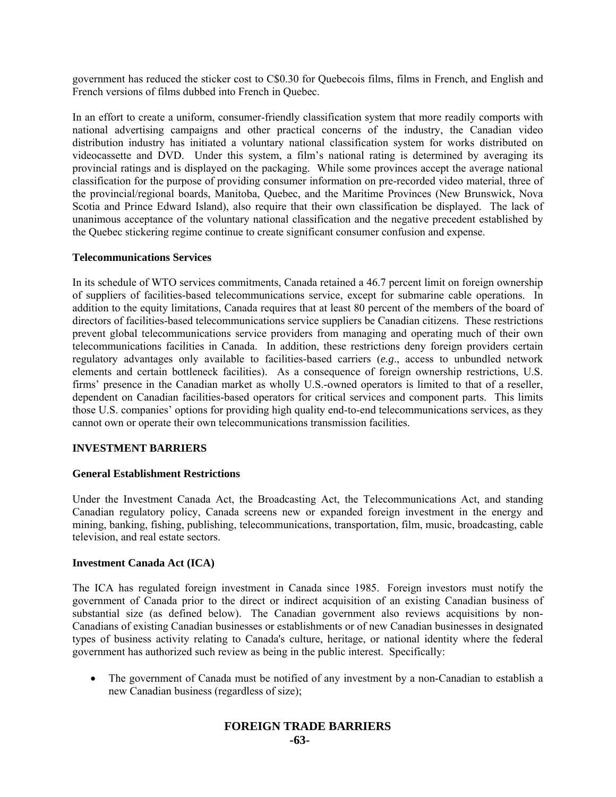government has reduced the sticker cost to C\$0.30 for Quebecois films, films in French, and English and French versions of films dubbed into French in Quebec.

In an effort to create a uniform, consumer-friendly classification system that more readily comports with national advertising campaigns and other practical concerns of the industry, the Canadian video distribution industry has initiated a voluntary national classification system for works distributed on videocassette and DVD. Under this system, a film's national rating is determined by averaging its provincial ratings and is displayed on the packaging. While some provinces accept the average national classification for the purpose of providing consumer information on pre-recorded video material, three of the provincial/regional boards, Manitoba, Quebec, and the Maritime Provinces (New Brunswick, Nova Scotia and Prince Edward Island), also require that their own classification be displayed. The lack of unanimous acceptance of the voluntary national classification and the negative precedent established by the Quebec stickering regime continue to create significant consumer confusion and expense.

#### **Telecommunications Services**

In its schedule of WTO services commitments, Canada retained a 46.7 percent limit on foreign ownership of suppliers of facilities-based telecommunications service, except for submarine cable operations. In addition to the equity limitations, Canada requires that at least 80 percent of the members of the board of directors of facilities-based telecommunications service suppliers be Canadian citizens. These restrictions prevent global telecommunications service providers from managing and operating much of their own telecommunications facilities in Canada. In addition, these restrictions deny foreign providers certain regulatory advantages only available to facilities-based carriers (*e.g*., access to unbundled network elements and certain bottleneck facilities). As a consequence of foreign ownership restrictions, U.S. firms' presence in the Canadian market as wholly U.S.-owned operators is limited to that of a reseller, dependent on Canadian facilities-based operators for critical services and component parts. This limits those U.S. companies' options for providing high quality end-to-end telecommunications services, as they cannot own or operate their own telecommunications transmission facilities.

# **INVESTMENT BARRIERS**

#### **General Establishment Restrictions**

Under the Investment Canada Act, the Broadcasting Act, the Telecommunications Act, and standing Canadian regulatory policy, Canada screens new or expanded foreign investment in the energy and mining, banking, fishing, publishing, telecommunications, transportation, film, music, broadcasting, cable television, and real estate sectors.

#### **Investment Canada Act (ICA)**

The ICA has regulated foreign investment in Canada since 1985. Foreign investors must notify the government of Canada prior to the direct or indirect acquisition of an existing Canadian business of substantial size (as defined below). The Canadian government also reviews acquisitions by non-Canadians of existing Canadian businesses or establishments or of new Canadian businesses in designated types of business activity relating to Canada's culture, heritage, or national identity where the federal government has authorized such review as being in the public interest. Specifically:

• The government of Canada must be notified of any investment by a non-Canadian to establish a new Canadian business (regardless of size);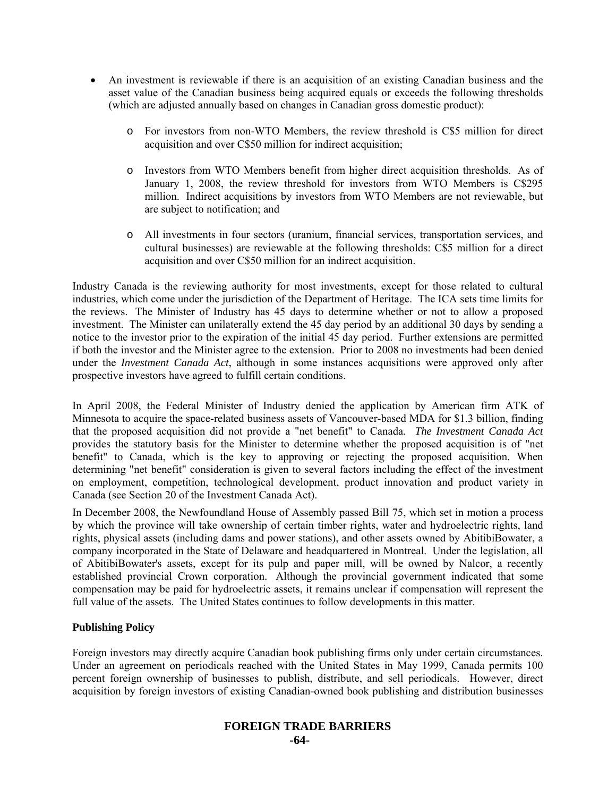- An investment is reviewable if there is an acquisition of an existing Canadian business and the asset value of the Canadian business being acquired equals or exceeds the following thresholds (which are adjusted annually based on changes in Canadian gross domestic product):
	- o For investors from non-WTO Members, the review threshold is C\$5 million for direct acquisition and over C\$50 million for indirect acquisition;
	- o Investors from WTO Members benefit from higher direct acquisition thresholds. As of January 1, 2008, the review threshold for investors from WTO Members is C\$295 million. Indirect acquisitions by investors from WTO Members are not reviewable, but are subject to notification; and
	- o All investments in four sectors (uranium, financial services, transportation services, and cultural businesses) are reviewable at the following thresholds: C\$5 million for a direct acquisition and over C\$50 million for an indirect acquisition.

Industry Canada is the reviewing authority for most investments, except for those related to cultural industries, which come under the jurisdiction of the Department of Heritage. The ICA sets time limits for the reviews. The Minister of Industry has 45 days to determine whether or not to allow a proposed investment. The Minister can unilaterally extend the 45 day period by an additional 30 days by sending a notice to the investor prior to the expiration of the initial 45 day period. Further extensions are permitted if both the investor and the Minister agree to the extension. Prior to 2008 no investments had been denied under the *Investment Canada Act*, although in some instances acquisitions were approved only after prospective investors have agreed to fulfill certain conditions.

In April 2008, the Federal Minister of Industry denied the application by American firm ATK of Minnesota to acquire the space-related business assets of Vancouver-based MDA for \$1.3 billion, finding that the proposed acquisition did not provide a "net benefit" to Canada*. The Investment Canada Act* provides the statutory basis for the Minister to determine whether the proposed acquisition is of "net benefit" to Canada, which is the key to approving or rejecting the proposed acquisition. When determining "net benefit" consideration is given to several factors including the effect of the investment on employment, competition, technological development, product innovation and product variety in Canada (see Section 20 of the Investment Canada Act).

In December 2008, the Newfoundland House of Assembly passed Bill 75, which set in motion a process by which the province will take ownership of certain timber rights, water and hydroelectric rights, land rights, physical assets (including dams and power stations), and other assets owned by AbitibiBowater, a company incorporated in the State of Delaware and headquartered in Montreal. Under the legislation, all of AbitibiBowater's assets, except for its pulp and paper mill, will be owned by Nalcor, a recently established provincial Crown corporation. Although the provincial government indicated that some compensation may be paid for hydroelectric assets, it remains unclear if compensation will represent the full value of the assets. The United States continues to follow developments in this matter.

# **Publishing Policy**

Foreign investors may directly acquire Canadian book publishing firms only under certain circumstances. Under an agreement on periodicals reached with the United States in May 1999, Canada permits 100 percent foreign ownership of businesses to publish, distribute, and sell periodicals. However, direct acquisition by foreign investors of existing Canadian-owned book publishing and distribution businesses